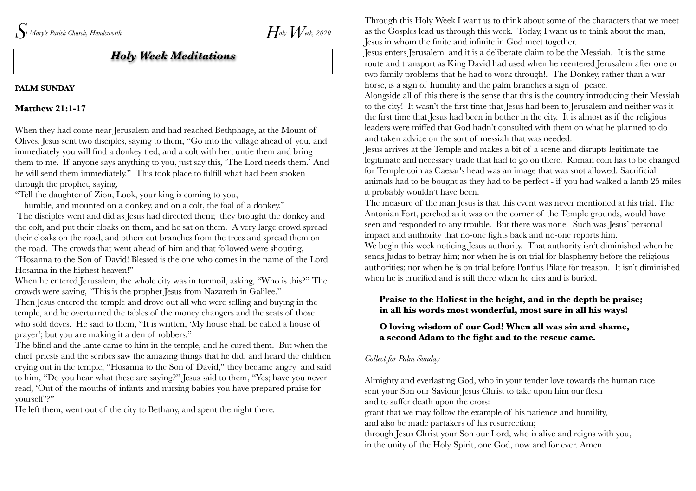# *Holy Week Meditations*

#### **PALM SUNDAY**

# **Matthew 21:1-17**

When they had come near Jerusalem and had reached Bethphage, at the Mount of Olives, Jesus sent two disciples, saying to them, "Go into the village ahead of you, and immediately you will find a donkey tied, and a colt with her; untie them and bring them to me. If anyone says anything to you, just say this, 'The Lord needs them.' And he will send them immediately." This took place to fulfill what had been spoken through the prophet, saying,

"Tell the daughter of Zion, Look, your king is coming to you,

 humble, and mounted on a donkey, and on a colt, the foal of a donkey." The disciples went and did as Jesus had directed them; they brought the donkey and the colt, and put their cloaks on them, and he sat on them. A very large crowd spread their cloaks on the road, and others cut branches from the trees and spread them on the road. The crowds that went ahead of him and that followed were shouting, "Hosanna to the Son of David! Blessed is the one who comes in the name of the Lord! Hosanna in the highest heaven!"

When he entered Jerusalem, the whole city was in turmoil, asking, "Who is this?" The crowds were saying, "This is the prophet Jesus from Nazareth in Galilee."

Then Jesus entered the temple and drove out all who were selling and buying in the temple, and he overturned the tables of the money changers and the seats of those who sold doves. He said to them, "It is written, 'My house shall be called a house of prayer'; but you are making it a den of robbers."

The blind and the lame came to him in the temple, and he cured them. But when the chief priests and the scribes saw the amazing things that he did, and heard the children crying out in the temple, "Hosanna to the Son of David," they became angry and said to him, "Do you hear what these are saying?" Jesus said to them, "Yes; have you never read, 'Out of the mouths of infants and nursing babies you have prepared praise for yourself '?"

He left them, went out of the city to Bethany, and spent the night there.

Through this Holy Week I want us to think about some of the characters that we meet as the Gosples lead us through this week. Today, I want us to think about the man, Jesus in whom the finite and infinite in God meet together.

Jesus enters Jerusalem and it is a deliberate claim to be the Messiah. It is the same route and transport as King David had used when he reentered Jerusalem after one or two family problems that he had to work through!. The Donkey, rather than a war horse, is a sign of humility and the palm branches a sign of peace.

Alongside all of this there is the sense that this is the country introducing their Messiah to the city! It wasn't the first time that Jesus had been to Jerusalem and neither was it the first time that Jesus had been in bother in the city. It is almost as if the religious leaders were miffed that God hadn't consulted with them on what he planned to do and taken advice on the sort of messiah that was needed.

Jesus arrives at the Temple and makes a bit of a scene and disrupts legitimate the legitimate and necessary trade that had to go on there. Roman coin has to be changed for Temple coin as Caesar's head was an image that was snot allowed. Sacrificial animals had to be bought as they had to be perfect - if you had walked a lamb 25 miles it probably wouldn't have been.

The measure of the man Jesus is that this event was never mentioned at his trial. The Antonian Fort, perched as it was on the corner of the Temple grounds, would have seen and responded to any trouble. But there was none. Such was Jesus' personal impact and authority that no-one fights back and no-one reports him. We begin this week noticing Jesus authority. That authority isn't diminished when he sends Judas to betray him; nor when he is on trial for blasphemy before the religious authorities; nor when he is on trial before Pontius Pilate for treason. It isn't diminished when he is crucified and is still there when he dies and is buried.

# **Praise to the Holiest in the height, and in the depth be praise; in all his words most wonderful, most sure in all his ways!**

# **O loving wisdom of our God! When all was sin and shame, a second Adam to the fight and to the rescue came.**

# *Collect for Palm Sunday*

Almighty and everlasting God, who in your tender love towards the human race sent your Son our Saviour Jesus Christ to take upon him our flesh and to suffer death upon the cross:

grant that we may follow the example of his patience and humility, and also be made partakers of his resurrection;

through Jesus Christ your Son our Lord, who is alive and reigns with you, in the unity of the Holy Spirit, one God, now and for ever. Amen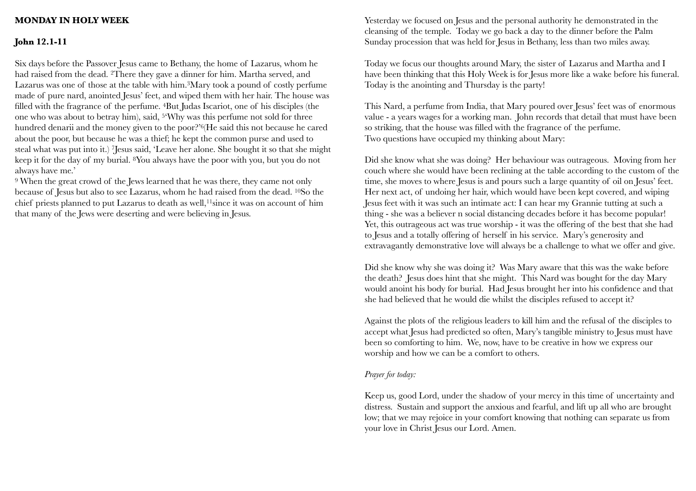# **MONDAY IN HOLY WEEK**

# **John 12.1-11**

Six days before the Passover Jesus came to Bethany, the home of Lazarus, whom he had raised from the dead. 2There they gave a dinner for him. Martha served, and Lazarus was one of those at the table with him.3Mary took a pound of costly perfume made of pure nard, anointed Jesus' feet, and wiped them with her hair. The house was filled with the fragrance of the perfume. 4But Judas Iscariot, one of his disciples (the one who was about to betray him), said, 5'Why was this perfume not sold for three hundred denarii and the money given to the poor?'6(He said this not because he cared about the poor, but because he was a thief; he kept the common purse and used to steal what was put into it.) 7Jesus said, 'Leave her alone. She bought it so that she might keep it for the day of my burial. 8You always have the poor with you, but you do not always have me.'

<sup>9</sup> When the great crowd of the Jews learned that he was there, they came not only because of Jesus but also to see Lazarus, whom he had raised from the dead. 10So the chief priests planned to put Lazarus to death as well,<sup>11</sup>since it was on account of him that many of the Jews were deserting and were believing in Jesus.

Yesterday we focused on Jesus and the personal authority he demonstrated in the cleansing of the temple. Today we go back a day to the dinner before the Palm Sunday procession that was held for Jesus in Bethany, less than two miles away.

Today we focus our thoughts around Mary, the sister of Lazarus and Martha and I have been thinking that this Holy Week is for Jesus more like a wake before his funeral. Today is the anointing and Thursday is the party!

This Nard, a perfume from India, that Mary poured over Jesus' feet was of enormous value - a years wages for a working man. John records that detail that must have been so striking, that the house was filled with the fragrance of the perfume. Two questions have occupied my thinking about Mary:

Did she know what she was doing? Her behaviour was outrageous. Moving from her couch where she would have been reclining at the table according to the custom of the time, she moves to where Jesus is and pours such a large quantity of oil on Jesus' feet. Her next act, of undoing her hair, which would have been kept covered, and wiping Jesus feet with it was such an intimate act: I can hear my Grannie tutting at such a thing - she was a believer n social distancing decades before it has become popular! Yet, this outrageous act was true worship - it was the offering of the best that she had to Jesus and a totally offering of herself in his service. Mary's generosity and extravagantly demonstrative love will always be a challenge to what we offer and give.

Did she know why she was doing it? Was Mary aware that this was the wake before the death? Jesus does hint that she might. This Nard was bought for the day Mary would anoint his body for burial. Had Jesus brought her into his confidence and that she had believed that he would die whilst the disciples refused to accept it?

Against the plots of the religious leaders to kill him and the refusal of the disciples to accept what Jesus had predicted so often, Mary's tangible ministry to Jesus must have been so comforting to him. We, now, have to be creative in how we express our worship and how we can be a comfort to others.

#### *Prayer for today:*

Keep us, good Lord, under the shadow of your mercy in this time of uncertainty and distress. Sustain and support the anxious and fearful, and lift up all who are brought low; that we may rejoice in your comfort knowing that nothing can separate us from your love in Christ Jesus our Lord. Amen.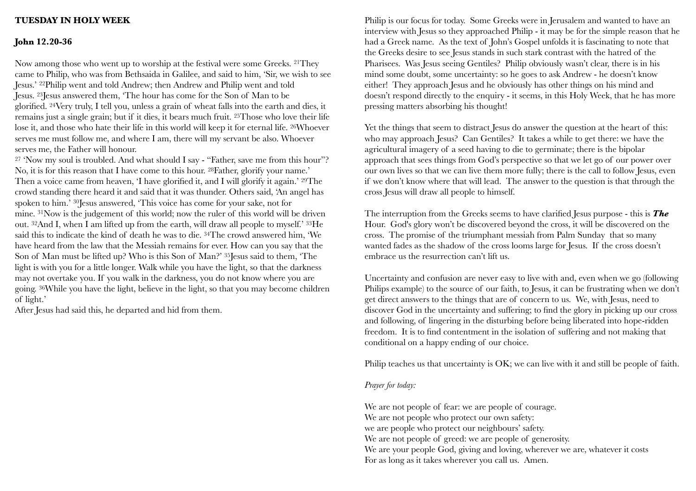#### **TUESDAY IN HOLY WEEK**

#### **John 12.20-36**

Now among those who went up to worship at the festival were some Greeks. 21They came to Philip, who was from Bethsaida in Galilee, and said to him, 'Sir, we wish to see Jesus.' 22Philip went and told Andrew; then Andrew and Philip went and told Jesus. 23Jesus answered them, 'The hour has come for the Son of Man to be glorified. 24Very truly, I tell you, unless a grain of wheat falls into the earth and dies, it remains just a single grain; but if it dies, it bears much fruit. 25Those who love their life lose it, and those who hate their life in this world will keep it for eternal life. 26Whoever serves me must follow me, and where I am, there will my servant be also. Whoever serves me, the Father will honour.

<sup>27</sup> 'Now my soul is troubled. And what should I say - "Father, save me from this hour"? No, it is for this reason that I have come to this hour. 28Father, glorify your name.' Then a voice came from heaven, 'I have glorified it, and I will glorify it again.' 29The crowd standing there heard it and said that it was thunder. Others said, 'An angel has spoken to him.' 30Jesus answered, 'This voice has come for your sake, not for mine. 31Now is the judgement of this world; now the ruler of this world will be driven out. 32And I, when I am lifted up from the earth, will draw all people to myself.' 33He said this to indicate the kind of death he was to die. 34The crowd answered him, 'We have heard from the law that the Messiah remains for ever. How can you say that the Son of Man must be lifted up? Who is this Son of Man?' 35Jesus said to them, 'The light is with you for a little longer. Walk while you have the light, so that the darkness may not overtake you. If you walk in the darkness, you do not know where you are going. 36While you have the light, believe in the light, so that you may become children of light.'

After Jesus had said this, he departed and hid from them.

Philip is our focus for today. Some Greeks were in Jerusalem and wanted to have an interview with Jesus so they approached Philip - it may be for the simple reason that he had a Greek name. As the text of John's Gospel unfolds it is fascinating to note that the Greeks desire to see Jesus stands in such stark contrast with the hatred of the Pharisees. Was Jesus seeing Gentiles? Philip obviously wasn't clear, there is in his mind some doubt, some uncertainty: so he goes to ask Andrew - he doesn't know either! They approach Jesus and he obviously has other things on his mind and doesn't respond directly to the enquiry - it seems, in this Holy Week, that he has more pressing matters absorbing his thought!

Yet the things that seem to distract Jesus do answer the question at the heart of this: who may approach Jesus? Can Gentiles? It takes a while to get there: we have the agricultural imagery of a seed having to die to germinate; there is the bipolar approach that sees things from God's perspective so that we let go of our power over our own lives so that we can live them more fully; there is the call to follow Jesus, even if we don't know where that will lead. The answer to the question is that through the cross Jesus will draw all people to himself.

The interruption from the Greeks seems to have clarified Jesus purpose - this is *The* Hour. God's glory won't be discovered beyond the cross, it will be discovered on the cross. The promise of the triumphant messiah from Palm Sunday that so many wanted fades as the shadow of the cross looms large for Jesus. If the cross doesn't embrace us the resurrection can't lift us.

Uncertainty and confusion are never easy to live with and, even when we go (following Philips example) to the source of our faith, to Jesus, it can be frustrating when we don't get direct answers to the things that are of concern to us. We, with Jesus, need to discover God in the uncertainty and suffering; to find the glory in picking up our cross and following, of lingering in the disturbing before being liberated into hope-ridden freedom. It is to find contentment in the isolation of suffering and not making that conditional on a happy ending of our choice.

Philip teaches us that uncertainty is OK; we can live with it and still be people of faith.

#### *Prayer for today:*

We are not people of fear: we are people of courage. We are not people who protect our own safety: we are people who protect our neighbours' safety. We are not people of greed: we are people of generosity. We are your people God, giving and loving, wherever we are, whatever it costs For as long as it takes wherever you call us. Amen.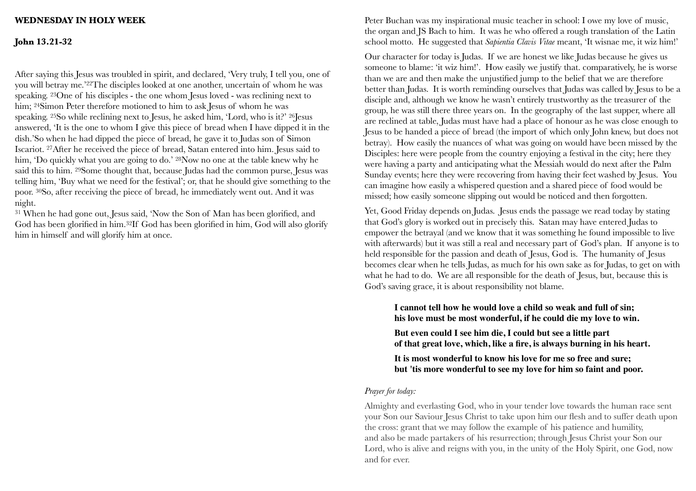#### **WEDNESDAY IN HOLY WEEK**

#### **John 13.21-32**

After saying this Jesus was troubled in spirit, and declared, 'Very truly, I tell you, one of you will betray me.'22The disciples looked at one another, uncertain of whom he was speaking. 23One of his disciples - the one whom Jesus loved - was reclining next to him; <sup>24</sup>Simon Peter therefore motioned to him to ask Jesus of whom he was speaking. 25So while reclining next to Jesus, he asked him, 'Lord, who is it?' 26Jesus answered, 'It is the one to whom I give this piece of bread when I have dipped it in the dish.'So when he had dipped the piece of bread, he gave it to Judas son of Simon Iscariot. 27After he received the piece of bread, Satan entered into him. Jesus said to him, 'Do quickly what you are going to do.' 28Now no one at the table knew why he said this to him. 29Some thought that, because Judas had the common purse, Jesus was telling him, 'Buy what we need for the festival'; or, that he should give something to the poor. 30So, after receiving the piece of bread, he immediately went out. And it was night.

<sup>31</sup> When he had gone out, Jesus said, 'Now the Son of Man has been glorified, and God has been glorified in him.32If God has been glorified in him, God will also glorify him in himself and will glorify him at once.

Peter Buchan was my inspirational music teacher in school: I owe my love of music, the organ and JS Bach to him. It was he who offered a rough translation of the Latin school motto. He suggested that *Sapientia Clavis Vitae* meant, 'It wisnae me, it wiz him!'

Our character for today is Judas. If we are honest we like Judas because he gives us someone to blame: 'it wiz him!'. How easily we justify that. comparatively, he is worse than we are and then make the unjustified jump to the belief that we are therefore better than Judas. It is worth reminding ourselves that Judas was called by Jesus to be a disciple and, although we know he wasn't entirely trustworthy as the treasurer of the group, he was still there three years on. In the geography of the last supper, where all are reclined at table, Judas must have had a place of honour as he was close enough to Jesus to be handed a piece of bread (the import of which only John knew, but does not betray). How easily the nuances of what was going on would have been missed by the Disciples: here were people from the country enjoying a festival in the city; here they were having a party and anticipating what the Messiah would do next after the Palm Sunday events; here they were recovering from having their feet washed by Jesus. You can imagine how easily a whispered question and a shared piece of food would be missed; how easily someone slipping out would be noticed and then forgotten.

Yet, Good Friday depends on Judas. Jesus ends the passage we read today by stating that God's glory is worked out in precisely this. Satan may have entered Judas to empower the betrayal (and we know that it was something he found impossible to live with afterwards) but it was still a real and necessary part of God's plan. If anyone is to held responsible for the passion and death of Jesus, God is. The humanity of Jesus becomes clear when he tells Judas, as much for his own sake as for Judas, to get on with what he had to do. We are all responsible for the death of Jesus, but, because this is God's saving grace, it is about responsibility not blame.

# **I cannot tell how he would love a child so weak and full of sin; his love must be most wonderful, if he could die my love to win.**

**But even could I see him die, I could but see a little part of that great love, which, like a fire, is always burning in his heart.**

**It is most wonderful to know his love for me so free and sure; but 'tis more wonderful to see my love for him so faint and poor.**

#### *Prayer for today:*

Almighty and everlasting God, who in your tender love towards the human race sent your Son our Saviour Jesus Christ to take upon him our flesh and to suffer death upon the cross: grant that we may follow the example of his patience and humility, and also be made partakers of his resurrection; through Jesus Christ your Son our Lord, who is alive and reigns with you, in the unity of the Holy Spirit, one God, now and for ever.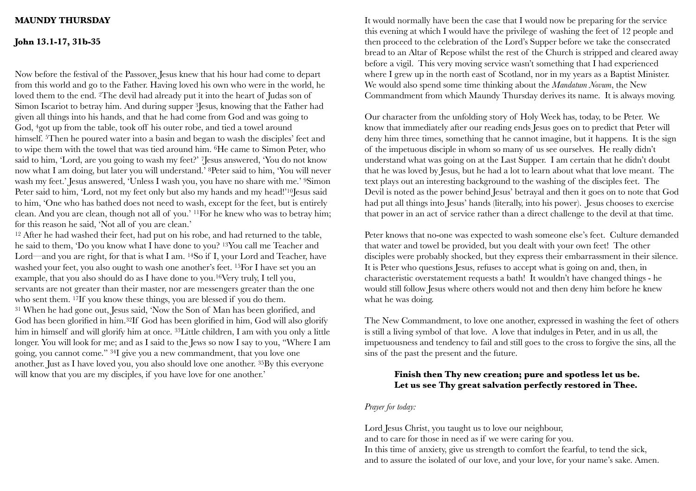#### **MAUNDY THURSDAY**

#### **John 13.1-17, 31b-35**

Now before the festival of the Passover, Jesus knew that his hour had come to depart from this world and go to the Father. Having loved his own who were in the world, he loved them to the end. 2The devil had already put it into the heart of Judas son of Simon Iscariot to betray him. And during supper 3Jesus, knowing that the Father had given all things into his hands, and that he had come from God and was going to God, 4got up from the table, took off his outer robe, and tied a towel around himself. 5Then he poured water into a basin and began to wash the disciples' feet and to wipe them with the towel that was tied around him. 6He came to Simon Peter, who said to him, 'Lord, are you going to wash my feet?' 7Jesus answered, 'You do not know now what I am doing, but later you will understand.' 8Peter said to him, 'You will never wash my feet.' Jesus answered, 'Unless I wash you, you have no share with me.' 9Simon Peter said to him, 'Lord, not my feet only but also my hands and my head!'<sup>10</sup>Jesus said to him, 'One who has bathed does not need to wash, except for the feet, but is entirely clean. And you are clean, though not all of you.' 11For he knew who was to betray him; for this reason he said, 'Not all of you are clean.'

<sup>12</sup> After he had washed their feet, had put on his robe, and had returned to the table, he said to them, 'Do you know what I have done to you? 13You call me Teacher and Lord—and you are right, for that is what I am. 14So if I, your Lord and Teacher, have washed your feet, you also ought to wash one another's feet. 15For I have set you an example, that you also should do as I have done to you.16Very truly, I tell you, servants are not greater than their master, nor are messengers greater than the one who sent them. <sup>17</sup>If you know these things, you are blessed if you do them. <sup>31</sup> When he had gone out, Jesus said, 'Now the Son of Man has been glorified, and God has been glorified in him.32If God has been glorified in him, God will also glorify him in himself and will glorify him at once. 33Little children, I am with you only a little longer. You will look for me; and as I said to the Jews so now I say to you, "Where I am going, you cannot come." 34I give you a new commandment, that you love one another. Just as I have loved you, you also should love one another. 35By this everyone will know that you are my disciples, if you have love for one another.'

It would normally have been the case that I would now be preparing for the service this evening at which I would have the privilege of washing the feet of 12 people and then proceed to the celebration of the Lord's Supper before we take the consecrated bread to an Altar of Repose whilst the rest of the Church is stripped and cleared away before a vigil. This very moving service wasn't something that I had experienced where I grew up in the north east of Scotland, nor in my years as a Baptist Minister. We would also spend some time thinking about the *Mandatum Novum*, the New Commandment from which Maundy Thursday derives its name. It is always moving.

Our character from the unfolding story of Holy Week has, today, to be Peter. We know that immediately after our reading ends Jesus goes on to predict that Peter will deny him three times, something that he cannot imagine, but it happens. It is the sign of the impetuous disciple in whom so many of us see ourselves. He really didn't understand what was going on at the Last Supper. I am certain that he didn't doubt that he was loved by Jesus, but he had a lot to learn about what that love meant. The text plays out an interesting background to the washing of the disciples feet. The Devil is noted as the power behind Jesus' betrayal and then it goes on to note that God had put all things into Jesus' hands (literally, into his power). Jesus chooses to exercise that power in an act of service rather than a direct challenge to the devil at that time.

Peter knows that no-one was expected to wash someone else's feet. Culture demanded that water and towel be provided, but you dealt with your own feet! The other disciples were probably shocked, but they express their embarrassment in their silence. It is Peter who questions Jesus, refuses to accept what is going on and, then, in characteristic overstatement requests a bath! It wouldn't have changed things - he would still follow Jesus where others would not and then deny him before he knew what he was doing.

The New Commandment, to love one another, expressed in washing the feet of others is still a living symbol of that love. A love that indulges in Peter, and in us all, the impetuousness and tendency to fail and still goes to the cross to forgive the sins, all the sins of the past the present and the future.

# **Finish then Thy new creation; pure and spotless let us be. Let us see Thy great salvation perfectly restored in Thee.**

#### *Prayer for today:*

Lord Jesus Christ, you taught us to love our neighbour, and to care for those in need as if we were caring for you. In this time of anxiety, give us strength to comfort the fearful, to tend the sick, and to assure the isolated of our love, and your love, for your name's sake. Amen.